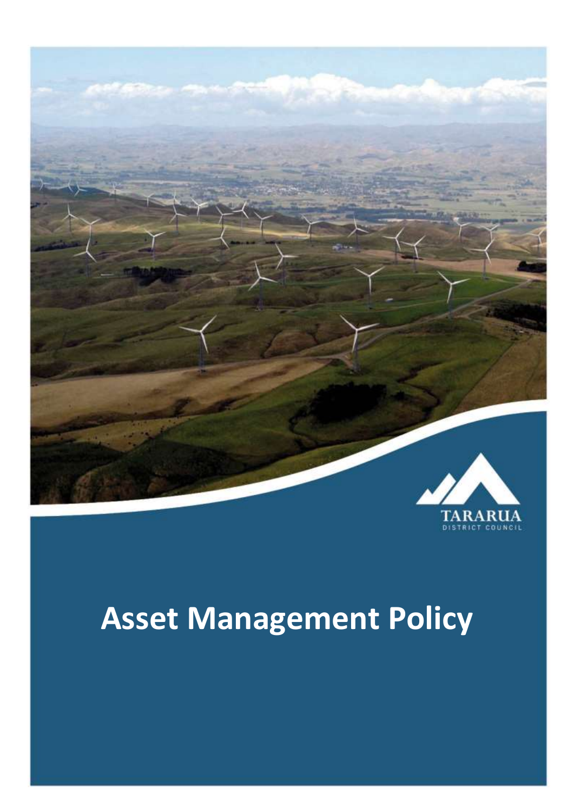

# **Asset Management Policy**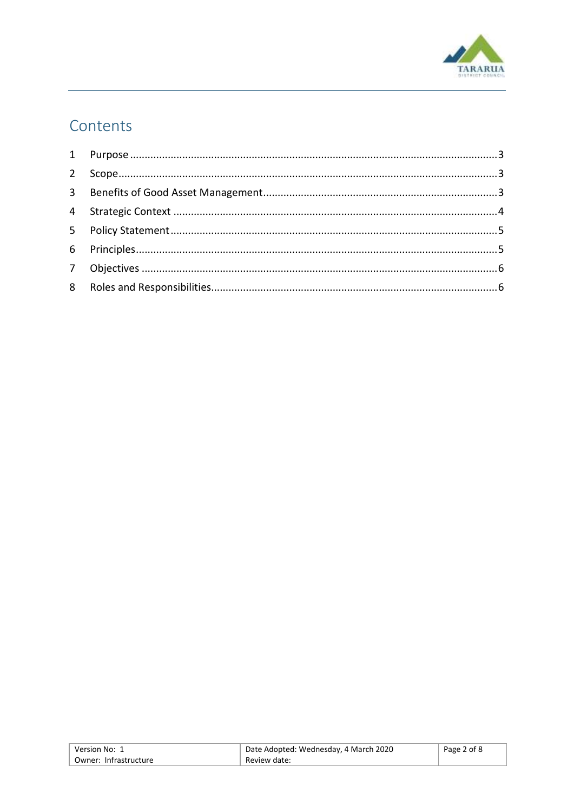

## Contents

| Version No: 1         | Date Adopted: Wednesday, 4 March 2020 | Page 2 of 8 |
|-----------------------|---------------------------------------|-------------|
| Owner: Infrastructure | Review date:                          |             |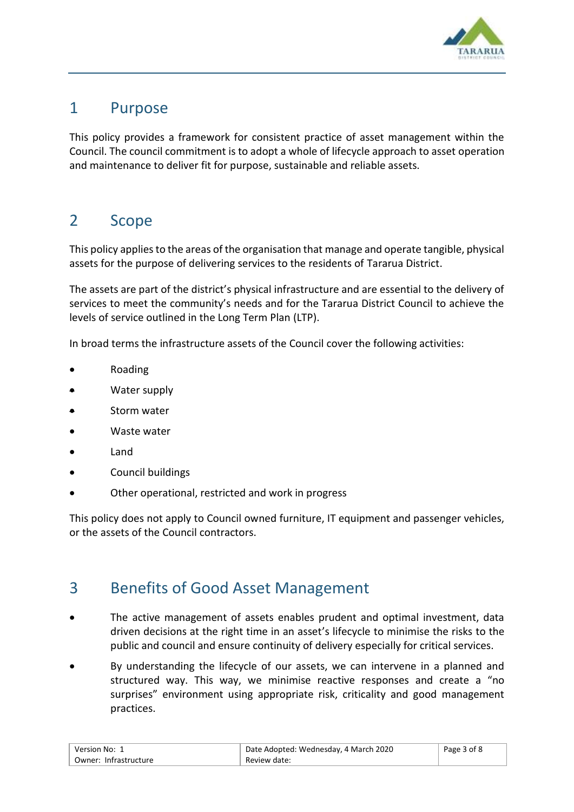

#### <span id="page-2-0"></span>1 Purpose

This policy provides a framework for consistent practice of asset management within the Council. The council commitment is to adopt a whole of lifecycle approach to asset operation and maintenance to deliver fit for purpose, sustainable and reliable assets.

#### <span id="page-2-1"></span>2 Scope

This policy applies to the areas of the organisation that manage and operate tangible, physical assets for the purpose of delivering services to the residents of Tararua District.

The assets are part of the district's physical infrastructure and are essential to the delivery of services to meet the community's needs and for the Tararua District Council to achieve the levels of service outlined in the Long Term Plan (LTP).

In broad terms the infrastructure assets of the Council cover the following activities:

- Roading
- Water supply
- Storm water
- Waste water
- Land
- Council buildings
- Other operational, restricted and work in progress

This policy does not apply to Council owned furniture, IT equipment and passenger vehicles, or the assets of the Council contractors.

#### <span id="page-2-2"></span>3 Benefits of Good Asset Management

- The active management of assets enables prudent and optimal investment, data driven decisions at the right time in an asset's lifecycle to minimise the risks to the public and council and ensure continuity of delivery especially for critical services.
- By understanding the lifecycle of our assets, we can intervene in a planned and structured way. This way, we minimise reactive responses and create a "no surprises" environment using appropriate risk, criticality and good management practices.

| Version No: 1           | Date Adopted: Wednesday, 4 March 2020 | Page 3 of 8 |
|-------------------------|---------------------------------------|-------------|
| ' Owner: Infrastructure | Review date:                          |             |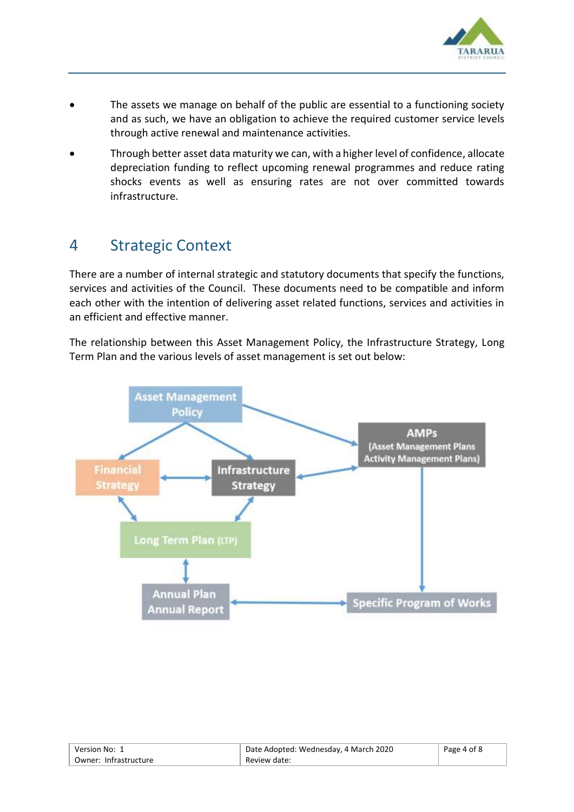

- The assets we manage on behalf of the public are essential to a functioning society and as such, we have an obligation to achieve the required customer service levels through active renewal and maintenance activities.
- Through better asset data maturity we can, with a higher level of confidence, allocate depreciation funding to reflect upcoming renewal programmes and reduce rating shocks events as well as ensuring rates are not over committed towards infrastructure.

#### <span id="page-3-0"></span>4 Strategic Context

There are a number of internal strategic and statutory documents that specify the functions, services and activities of the Council. These documents need to be compatible and inform each other with the intention of delivering asset related functions, services and activities in an efficient and effective manner.

The relationship between this Asset Management Policy, the Infrastructure Strategy, Long Term Plan and the various levels of asset management is set out below:



| Version No: 1         | Date Adopted: Wednesday, 4 March 2020 | Page 4 of 8 |
|-----------------------|---------------------------------------|-------------|
| Owner: Infrastructure | Review date:                          |             |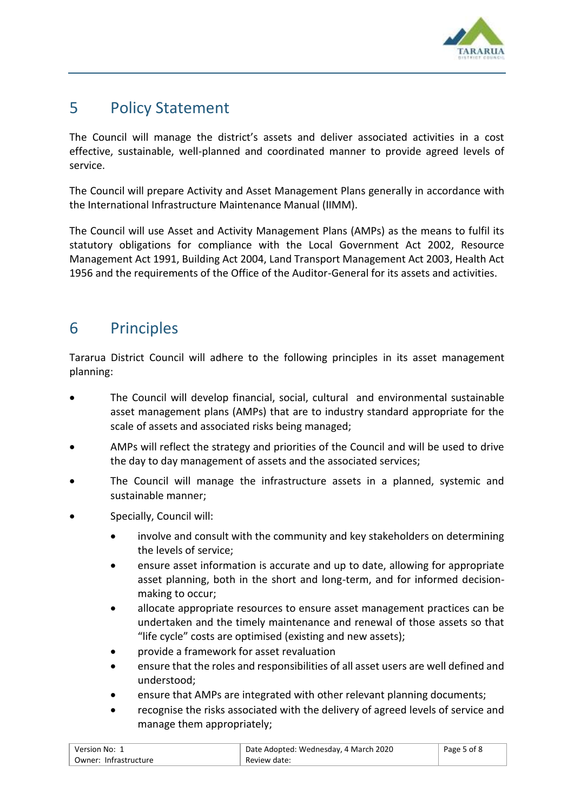

#### <span id="page-4-0"></span>5 Policy Statement

The Council will manage the district's assets and deliver associated activities in a cost effective, sustainable, well-planned and coordinated manner to provide agreed levels of service.

The Council will prepare Activity and Asset Management Plans generally in accordance with the International Infrastructure Maintenance Manual (IIMM).

The Council will use Asset and Activity Management Plans (AMPs) as the means to fulfil its statutory obligations for compliance with the Local Government Act 2002, Resource Management Act 1991, Building Act 2004, Land Transport Management Act 2003, Health Act 1956 and the requirements of the Office of the Auditor-General for its assets and activities.

#### <span id="page-4-1"></span>6 Principles

Tararua District Council will adhere to the following principles in its asset management planning:

- The Council will develop financial, social, cultural and environmental sustainable asset management plans (AMPs) that are to industry standard appropriate for the scale of assets and associated risks being managed;
- AMPs will reflect the strategy and priorities of the Council and will be used to drive the day to day management of assets and the associated services;
- The Council will manage the infrastructure assets in a planned, systemic and sustainable manner;
- Specially, Council will:
	- involve and consult with the community and key stakeholders on determining the levels of service;
	- ensure asset information is accurate and up to date, allowing for appropriate asset planning, both in the short and long-term, and for informed decisionmaking to occur;
	- allocate appropriate resources to ensure asset management practices can be undertaken and the timely maintenance and renewal of those assets so that "life cycle" costs are optimised (existing and new assets);
	- provide a framework for asset revaluation
	- ensure that the roles and responsibilities of all asset users are well defined and understood;
	- ensure that AMPs are integrated with other relevant planning documents;
	- recognise the risks associated with the delivery of agreed levels of service and manage them appropriately;

| Version No: 1         | Date Adopted: Wednesday, 4 March 2020 | Page 5 of 8 |
|-----------------------|---------------------------------------|-------------|
| Owner: Infrastructure | Review date:                          |             |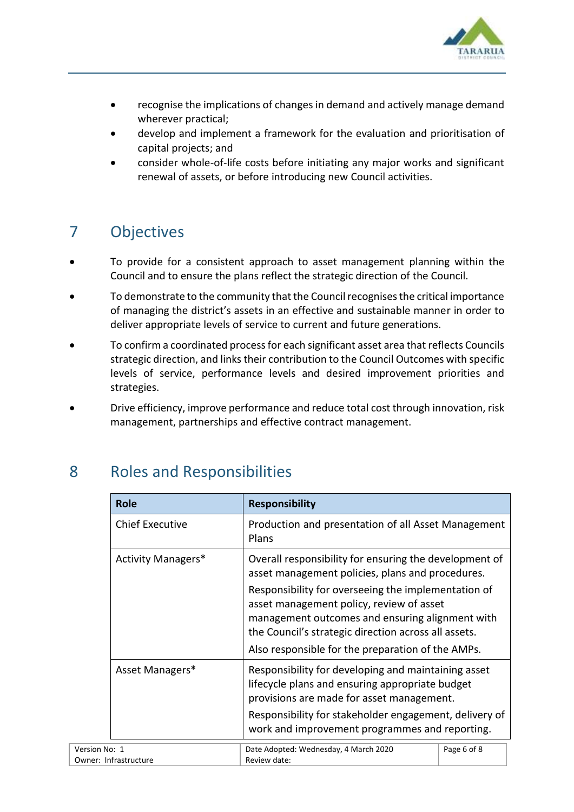

- recognise the implications of changes in demand and actively manage demand wherever practical;
- develop and implement a framework for the evaluation and prioritisation of capital projects; and
- consider whole-of-life costs before initiating any major works and significant renewal of assets, or before introducing new Council activities.

## <span id="page-5-0"></span>7 Objectives

- To provide for a consistent approach to asset management planning within the Council and to ensure the plans reflect the strategic direction of the Council.
- To demonstrate to the community that the Council recognises the critical importance of managing the district's assets in an effective and sustainable manner in order to deliver appropriate levels of service to current and future generations.
- To confirm a coordinated process for each significant asset area that reflects Councils strategic direction, and links their contribution to the Council Outcomes with specific levels of service, performance levels and desired improvement priorities and strategies.
- Drive efficiency, improve performance and reduce total cost through innovation, risk management, partnerships and effective contract management.

|               | <b>Role</b>                                                                                                                                                                                                                                                                        | <b>Responsibility</b>                                                                                                                                                                                    |  |
|---------------|------------------------------------------------------------------------------------------------------------------------------------------------------------------------------------------------------------------------------------------------------------------------------------|----------------------------------------------------------------------------------------------------------------------------------------------------------------------------------------------------------|--|
|               | <b>Chief Executive</b><br>Production and presentation of all Asset Management<br>Plans                                                                                                                                                                                             |                                                                                                                                                                                                          |  |
|               | <b>Activity Managers*</b>                                                                                                                                                                                                                                                          | Overall responsibility for ensuring the development of<br>asset management policies, plans and procedures.<br>Responsibility for overseeing the implementation of                                        |  |
|               |                                                                                                                                                                                                                                                                                    | asset management policy, review of asset<br>management outcomes and ensuring alignment with<br>the Council's strategic direction across all assets.<br>Also responsible for the preparation of the AMPs. |  |
|               | Asset Managers*<br>Responsibility for developing and maintaining asset<br>lifecycle plans and ensuring appropriate budget<br>provisions are made for asset management.<br>Responsibility for stakeholder engagement, delivery of<br>work and improvement programmes and reporting. |                                                                                                                                                                                                          |  |
| Version No: 1 | Page 6 of 8<br>Date Adopted: Wednesday, 4 March 2020<br>Owner: Infrastructure<br>Review date:                                                                                                                                                                                      |                                                                                                                                                                                                          |  |

### <span id="page-5-1"></span>8 Roles and Responsibilities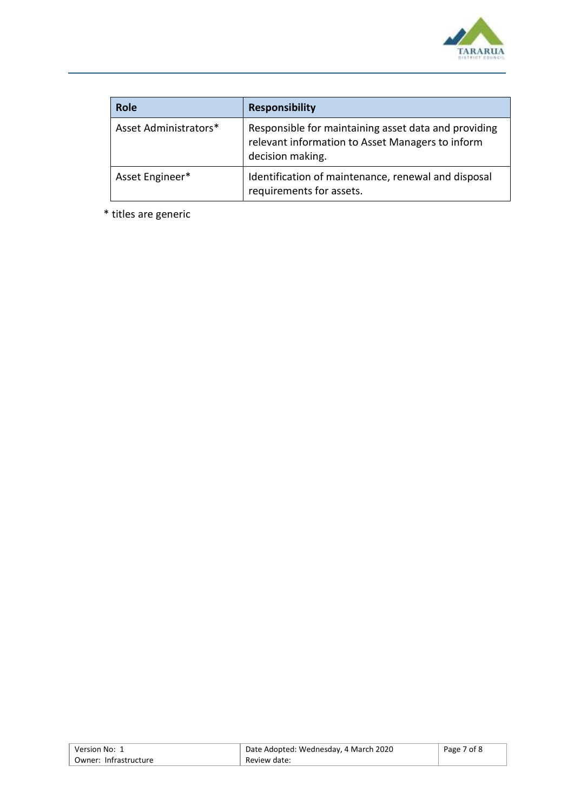

| <b>Role</b>           | <b>Responsibility</b>                                                                                                        |
|-----------------------|------------------------------------------------------------------------------------------------------------------------------|
| Asset Administrators* | Responsible for maintaining asset data and providing<br>relevant information to Asset Managers to inform<br>decision making. |
| Asset Engineer*       | Identification of maintenance, renewal and disposal<br>requirements for assets.                                              |

\* titles are generic

| Version No: 1         | Date Adopted: Wednesday, 4 March 2020 | Page 7 of 8 |
|-----------------------|---------------------------------------|-------------|
| Owner: Infrastructure | Review date:                          |             |